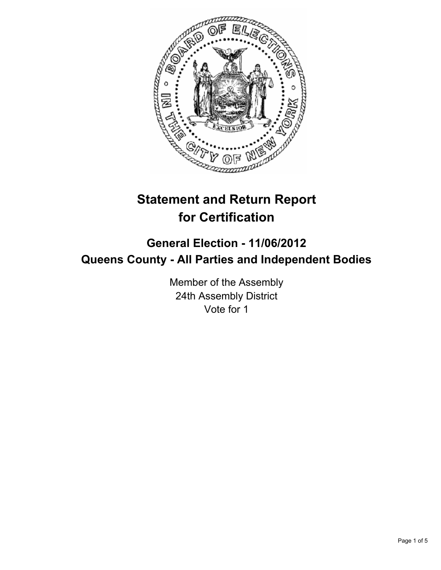

# **Statement and Return Report for Certification**

## **General Election - 11/06/2012 Queens County - All Parties and Independent Bodies**

Member of the Assembly 24th Assembly District Vote for 1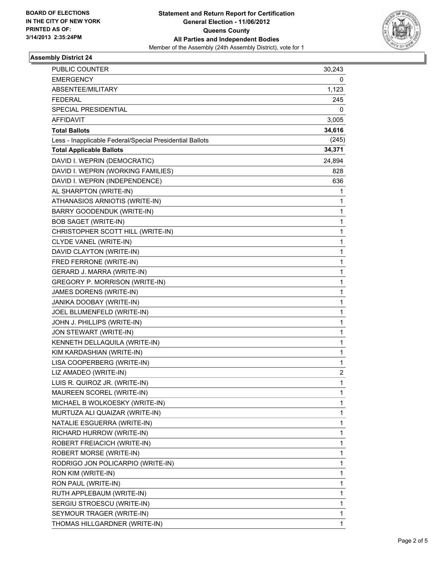

#### **Assembly District 24**

| PUBLIC COUNTER                                           | 30,243 |
|----------------------------------------------------------|--------|
| <b>EMERGENCY</b>                                         | 0      |
| ABSENTEE/MILITARY                                        | 1,123  |
| <b>FEDERAL</b>                                           | 245    |
| SPECIAL PRESIDENTIAL                                     | 0      |
| AFFIDAVIT                                                | 3,005  |
| <b>Total Ballots</b>                                     | 34,616 |
| Less - Inapplicable Federal/Special Presidential Ballots | (245)  |
| <b>Total Applicable Ballots</b>                          | 34,371 |
| DAVID I. WEPRIN (DEMOCRATIC)                             | 24,894 |
| DAVID I. WEPRIN (WORKING FAMILIES)                       | 828    |
| DAVID I. WEPRIN (INDEPENDENCE)                           | 636    |
| AL SHARPTON (WRITE-IN)                                   | 1      |
| ATHANASIOS ARNIOTIS (WRITE-IN)                           | 1      |
| BARRY GOODENDUK (WRITE-IN)                               | 1      |
| <b>BOB SAGET (WRITE-IN)</b>                              | 1      |
| CHRISTOPHER SCOTT HILL (WRITE-IN)                        | 1      |
| CLYDE VANEL (WRITE-IN)                                   | 1      |
| DAVID CLAYTON (WRITE-IN)                                 | 1      |
| FRED FERRONE (WRITE-IN)                                  | 1      |
| <b>GERARD J. MARRA (WRITE-IN)</b>                        | 1      |
| GREGORY P. MORRISON (WRITE-IN)                           | 1      |
| JAMES DORENS (WRITE-IN)                                  | 1      |
| JANIKA DOOBAY (WRITE-IN)                                 | 1      |
| JOEL BLUMENFELD (WRITE-IN)                               | 1      |
| JOHN J. PHILLIPS (WRITE-IN)                              | 1      |
| JON STEWART (WRITE-IN)                                   | 1      |
| KENNETH DELLAQUILA (WRITE-IN)                            | 1      |
| KIM KARDASHIAN (WRITE-IN)                                | 1      |
| LISA COOPERBERG (WRITE-IN)                               | 1      |
| LIZ AMADEO (WRITE-IN)                                    | 2      |
| LUIS R. QUIROZ JR. (WRITE-IN)                            | 1      |
| MAUREEN SCOREL (WRITE-IN)                                | 1      |
| MICHAEL B WOLKOESKY (WRITE-IN)                           | 1      |
| MURTUZA ALI QUAIZAR (WRITE-IN)                           | 1      |
| NATALIE ESGUERRA (WRITE-IN)                              | 1      |
| RICHARD HURROW (WRITE-IN)                                | 1      |
| ROBERT FREIACICH (WRITE-IN)                              | 1      |
| ROBERT MORSE (WRITE-IN)                                  | 1      |
| RODRIGO JON POLICARPIO (WRITE-IN)                        | 1      |
| RON KIM (WRITE-IN)                                       | 1      |
| RON PAUL (WRITE-IN)                                      | 1      |
| RUTH APPLEBAUM (WRITE-IN)                                | 1      |
| SERGIU STROESCU (WRITE-IN)                               | 1      |
| SEYMOUR TRAGER (WRITE-IN)                                | 1      |
| THOMAS HILLGARDNER (WRITE-IN)                            | 1      |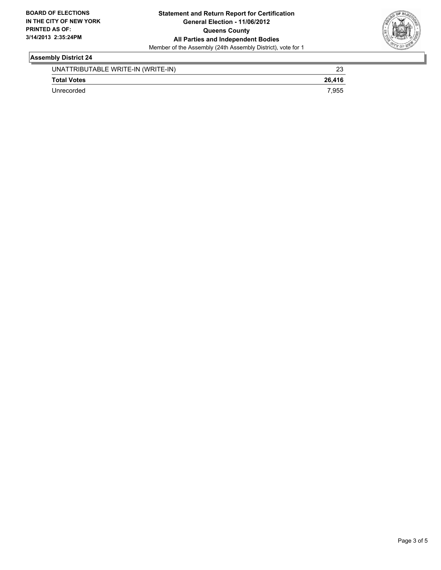

#### **Assembly District 24**

| UNATTRIBUTABLE WRITE-IN (WRITE-IN) | ົ      |
|------------------------------------|--------|
| <b>Total Votes</b>                 | 26.416 |
| Unrecorded                         | 7.955  |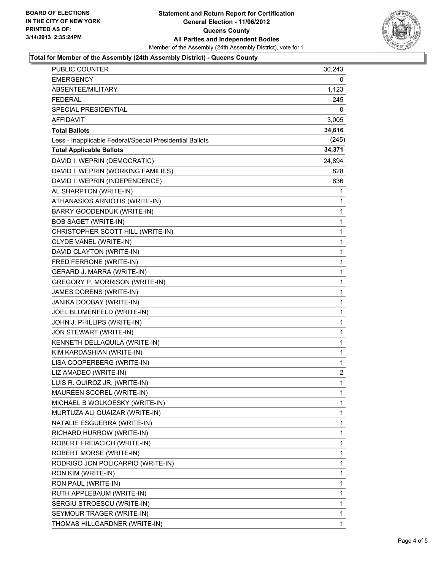

#### **Total for Member of the Assembly (24th Assembly District) - Queens County**

| PUBLIC COUNTER                                           | 30,243         |
|----------------------------------------------------------|----------------|
| <b>EMERGENCY</b>                                         | 0              |
| ABSENTEE/MILITARY                                        | 1,123          |
| <b>FEDERAL</b>                                           | 245            |
| SPECIAL PRESIDENTIAL                                     | 0              |
| AFFIDAVIT                                                | 3,005          |
| <b>Total Ballots</b>                                     | 34,616         |
| Less - Inapplicable Federal/Special Presidential Ballots | (245)          |
| <b>Total Applicable Ballots</b>                          | 34,371         |
| DAVID I. WEPRIN (DEMOCRATIC)                             | 24,894         |
| DAVID I. WEPRIN (WORKING FAMILIES)                       | 828            |
| DAVID I. WEPRIN (INDEPENDENCE)                           | 636            |
| AL SHARPTON (WRITE-IN)                                   | 1              |
| ATHANASIOS ARNIOTIS (WRITE-IN)                           | 1              |
| <b>BARRY GOODENDUK (WRITE-IN)</b>                        | 1              |
| <b>BOB SAGET (WRITE-IN)</b>                              | 1              |
| CHRISTOPHER SCOTT HILL (WRITE-IN)                        | 1              |
| CLYDE VANEL (WRITE-IN)                                   | 1              |
| DAVID CLAYTON (WRITE-IN)                                 | 1              |
| FRED FERRONE (WRITE-IN)                                  | 1              |
| GERARD J. MARRA (WRITE-IN)                               | 1              |
| GREGORY P. MORRISON (WRITE-IN)                           | 1              |
| JAMES DORENS (WRITE-IN)                                  | 1              |
| JANIKA DOOBAY (WRITE-IN)                                 | 1              |
| JOEL BLUMENFELD (WRITE-IN)                               | 1              |
| JOHN J. PHILLIPS (WRITE-IN)                              | $\mathbf{1}$   |
| JON STEWART (WRITE-IN)                                   | 1              |
| KENNETH DELLAQUILA (WRITE-IN)                            | 1              |
| KIM KARDASHIAN (WRITE-IN)                                | 1              |
| LISA COOPERBERG (WRITE-IN)                               | 1              |
| LIZ AMADEO (WRITE-IN)                                    | $\overline{c}$ |
| LUIS R. QUIROZ JR. (WRITE-IN)                            | $\mathbf{1}$   |
| MAUREEN SCOREL (WRITE-IN)                                | 1              |
| MICHAEL B WOLKOESKY (WRITE-IN)                           | 1              |
| MURTUZA ALI QUAIZAR (WRITE-IN)                           | 1              |
| NATALIE ESGUERRA (WRITE-IN)                              | 1              |
| RICHARD HURROW (WRITE-IN)                                | 1              |
| ROBERT FREIACICH (WRITE-IN)                              | 1              |
| ROBERT MORSE (WRITE-IN)                                  | 1              |
| RODRIGO JON POLICARPIO (WRITE-IN)                        | 1              |
| RON KIM (WRITE-IN)                                       | 1              |
| RON PAUL (WRITE-IN)                                      | 1              |
| RUTH APPLEBAUM (WRITE-IN)                                | 1              |
| SERGIU STROESCU (WRITE-IN)                               | 1              |
| SEYMOUR TRAGER (WRITE-IN)                                | 1              |
| THOMAS HILLGARDNER (WRITE-IN)                            | 1              |
|                                                          |                |